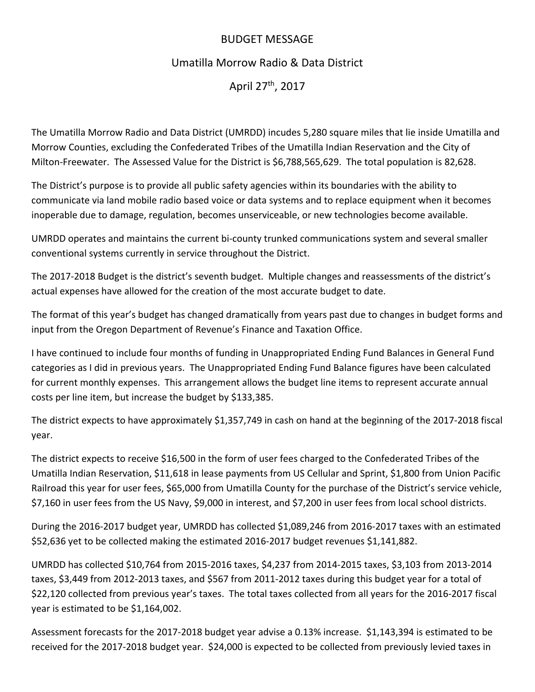## BUDGET MESSAGE

# Umatilla Morrow Radio & Data District

April 27th, 2017

The Umatilla Morrow Radio and Data District (UMRDD) incudes 5,280 square miles that lie inside Umatilla and Morrow Counties, excluding the Confederated Tribes of the Umatilla Indian Reservation and the City of Milton‐Freewater. The Assessed Value for the District is \$6,788,565,629. The total population is 82,628.

The District's purpose is to provide all public safety agencies within its boundaries with the ability to communicate via land mobile radio based voice or data systems and to replace equipment when it becomes inoperable due to damage, regulation, becomes unserviceable, or new technologies become available.

UMRDD operates and maintains the current bi‐county trunked communications system and several smaller conventional systems currently in service throughout the District.

The 2017‐2018 Budget is the district's seventh budget. Multiple changes and reassessments of the district's actual expenses have allowed for the creation of the most accurate budget to date.

The format of this year's budget has changed dramatically from years past due to changes in budget forms and input from the Oregon Department of Revenue's Finance and Taxation Office.

I have continued to include four months of funding in Unappropriated Ending Fund Balances in General Fund categories as I did in previous years. The Unappropriated Ending Fund Balance figures have been calculated for current monthly expenses. This arrangement allows the budget line items to represent accurate annual costs per line item, but increase the budget by \$133,385.

The district expects to have approximately \$1,357,749 in cash on hand at the beginning of the 2017‐2018 fiscal year.

The district expects to receive \$16,500 in the form of user fees charged to the Confederated Tribes of the Umatilla Indian Reservation, \$11,618 in lease payments from US Cellular and Sprint, \$1,800 from Union Pacific Railroad this year for user fees, \$65,000 from Umatilla County for the purchase of the District's service vehicle, \$7,160 in user fees from the US Navy, \$9,000 in interest, and \$7,200 in user fees from local school districts.

During the 2016‐2017 budget year, UMRDD has collected \$1,089,246 from 2016‐2017 taxes with an estimated \$52,636 yet to be collected making the estimated 2016‐2017 budget revenues \$1,141,882.

UMRDD has collected \$10,764 from 2015‐2016 taxes, \$4,237 from 2014‐2015 taxes, \$3,103 from 2013‐2014 taxes, \$3,449 from 2012‐2013 taxes, and \$567 from 2011‐2012 taxes during this budget year for a total of \$22,120 collected from previous year's taxes. The total taxes collected from all years for the 2016‐2017 fiscal year is estimated to be \$1,164,002.

Assessment forecasts for the 2017‐2018 budget year advise a 0.13% increase. \$1,143,394 is estimated to be received for the 2017‐2018 budget year. \$24,000 is expected to be collected from previously levied taxes in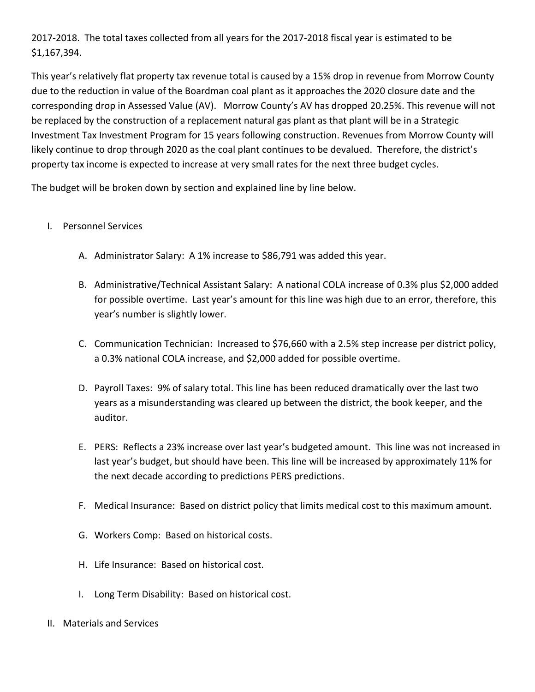2017‐2018. The total taxes collected from all years for the 2017‐2018 fiscal year is estimated to be \$1,167,394.

This year's relatively flat property tax revenue total is caused by a 15% drop in revenue from Morrow County due to the reduction in value of the Boardman coal plant as it approaches the 2020 closure date and the corresponding drop in Assessed Value (AV). Morrow County's AV has dropped 20.25%. This revenue will not be replaced by the construction of a replacement natural gas plant as that plant will be in a Strategic Investment Tax Investment Program for 15 years following construction. Revenues from Morrow County will likely continue to drop through 2020 as the coal plant continues to be devalued. Therefore, the district's property tax income is expected to increase at very small rates for the next three budget cycles.

The budget will be broken down by section and explained line by line below.

## I. Personnel Services

- A. Administrator Salary: A 1% increase to \$86,791 was added this year.
- B. Administrative/Technical Assistant Salary: A national COLA increase of 0.3% plus \$2,000 added for possible overtime. Last year's amount for this line was high due to an error, therefore, this year's number is slightly lower.
- C. Communication Technician: Increased to \$76,660 with a 2.5% step increase per district policy, a 0.3% national COLA increase, and \$2,000 added for possible overtime.
- D. Payroll Taxes: 9% of salary total. This line has been reduced dramatically over the last two years as a misunderstanding was cleared up between the district, the book keeper, and the auditor.
- E. PERS: Reflects a 23% increase over last year's budgeted amount. This line was not increased in last year's budget, but should have been. This line will be increased by approximately 11% for the next decade according to predictions PERS predictions.
- F. Medical Insurance: Based on district policy that limits medical cost to this maximum amount.
- G. Workers Comp: Based on historical costs.
- H. Life Insurance: Based on historical cost.
- I. Long Term Disability: Based on historical cost.
- II. Materials and Services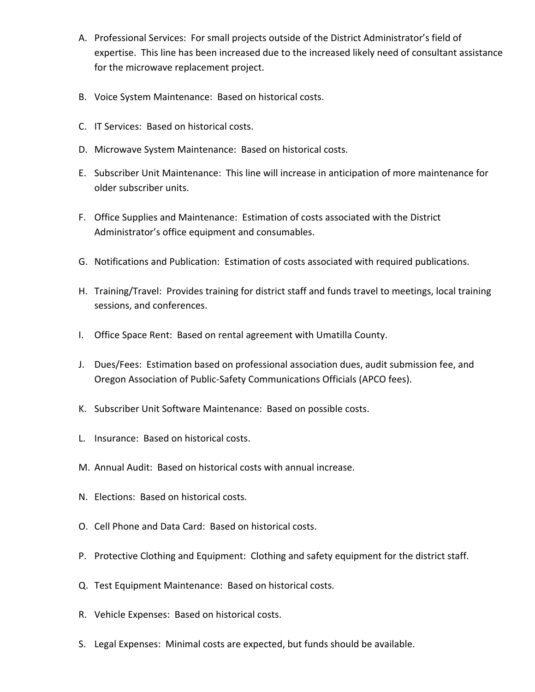- A. Professional Services: For small projects outside of the District Administrator's field of expertise. This line has been increased due to the increased likely need of consultant assistance for the microwave replacement project.
- B. Voice System Maintenance: Based on historical costs.
- C. IT Services: Based on historical costs.
- D. Microwave System Maintenance: Based on historical costs.
- E. Subscriber Unit Maintenance: This line will increase in anticipation of more maintenance for older subscriber units.
- F. Office Supplies and Maintenance: Estimation of costs associated with the District Administrator's office equipment and consumables.
- G. Notifications and Publication: Estimation of costs associated with required publications.
- H. Training/Travel: Provides training for district staff and funds travel to meetings, local training sessions, and conferences.
- I. Office Space Rent: Based on rental agreement with Umatilla County.
- J. Dues/Fees: Estimation based on professional association dues, audit submission fee, and Oregon Association of Public‐Safety Communications Officials (APCO fees).
- K. Subscriber Unit Software Maintenance: Based on possible costs.
- L. Insurance: Based on historical costs.
- M. Annual Audit: Based on historical costs with annual increase.
- N. Elections: Based on historical costs.
- O. Cell Phone and Data Card: Based on historical costs.
- P. Protective Clothing and Equipment: Clothing and safety equipment for the district staff.
- Q. Test Equipment Maintenance: Based on historical costs.
- R. Vehicle Expenses: Based on historical costs.
- S. Legal Expenses: Minimal costs are expected, but funds should be available.